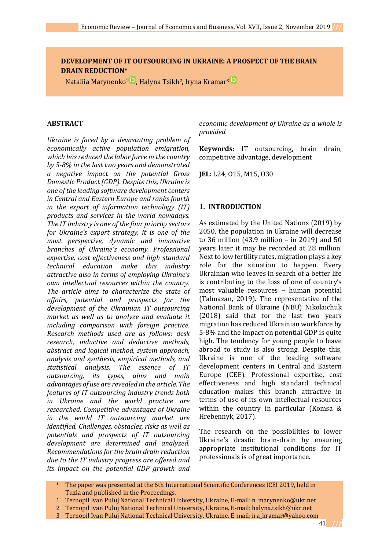# **DEVELOPMENT OF IT OUTSOURCING IN UKRAINE: A PROSPECT OF THE BRAIN DRAIN REDUCTION\***

Nataliia Marynenko<sup>[1](https://orcid.org/0000-0002-0695-1961)</sup> <sup>ID</sup>[,](https://orcid.org/0000-0002-6645-8167) Halyna Tsikh<sup>2</sup>, Iryna Kramar<sup>[3](https://orcid.org/0000-0001-5768-988X) ID</sup>

#### **ABSTRACT**

*Ukraine is faced by a devastating problem of economically active population emigration, which has reduced the labor force in the country by 5-8% in the last two years and demonstrated a negative impact on the potential Gross Domestic Product (GDP). Despite this, Ukraine is one of the leading software development centers in Central and Eastern Europe and ranks fourth in the export of information technology (IT) products and services in the world nowadays. The IT industry is one of the four priority sectors for Ukraine's export strategy, it is one of the most perspective, dynamic and innovative branches of Ukraine's economy. Professional expertise, cost effectiveness and high standard technical education make this industry attractive also in terms of employing Ukraine's own intellectual resources within the country. The article aims to characterize the state of affairs, potential and prospects for the development of the Ukrainian IT outsourcing market as well as to analyze and evaluate it including comparison with foreign practice. Research methods used are as follows: desk research, inductive and deductive methods, abstract and logical method, system approach, analysis and synthesis, empirical methods, and statistical analysis. The essence of IT outsourcing, its types, aims and main advantages of use are revealed in the article. The features of IT outsourcing industry trends both in Ukraine and the world practice are researched. Competitive advantages of Ukraine in the world IT outsourcing market are identified. Challenges, obstacles, risks as well as potentials and prospects of IT outsourcing development are determined and analyzed. Recommendations for the brain drain reduction due to the IT industry progress are offered and its impact on the potential GDP growth and* 

*economic development of Ukraine as a whole is provided.* 

**Keywords:** IT outsourcing, brain drain, competitive advantage, development

**JEL:** L24, O15, M15, O30

#### **1. INTRODUCTION**

As estimated by the United Nations (2019) by 2050, the population in Ukraine will decrease to 36 million (43.9 million – in 2019) and 50 years later it may be recorded at 28 million. Next to low fertility rates, migration plays a key role for the situation to happen. Every Ukrainian who leaves in search of a better life is contributing to the loss of one of country's most valuable resources – human potential (Talmazan, 2019). The representative of the National Bank of Ukraine (NBU) Nikolaichuk (2018) said that for the last two years migration has reduced Ukrainian workforce by 5-8% and the impact on potential GDP is quite high. The tendency for young people to leave abroad to study is also strong. Despite this, Ukraine is one of the leading software development centers in Central and Eastern Europe (CEE). Professional expertise, cost effectiveness and high standard technical education makes this branch attractive in terms of use of its own intellectual resources within the country in particular (Komsa & Hrebennyk, 2017).

The research on the possibilities to lower Ukraine's drastic brain-drain by ensuring appropriate institutional conditions for IT professionals is of great importance.

- The paper was presented at the 6th International Scientific Conferences ICEI 2019, held in Tuzla and published in the Proceedings.
- 1 Ternopil Ivan Puluj National Technical University, Ukraine, E-mail: [n\\_marynenko@ukr.net](mailto:n_marynenko@ukr.net)
- 2 Ternopil Ivan Puluj National Technical University, Ukraine, E-mail: [halyna.tsikh@ukr.net](mailto:halyna.tsikh@ukr.net)
- 3 Ternopil Ivan Puluj National Technical University, Ukraine, E-mail: ira\_kramar@yahoo.com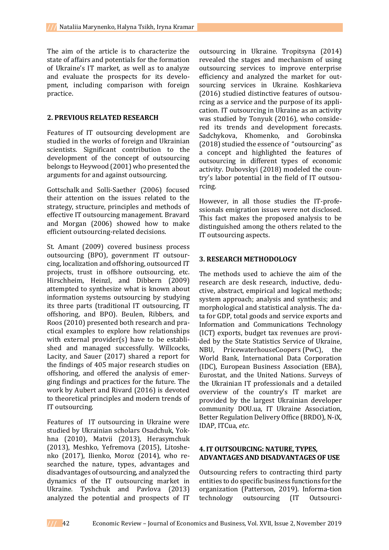The aim of the article is to characterize the state of affairs and potentials for the formation of Ukraine's IT market, as well as to analyze and evaluate the prospects for its development, including comparison with foreign practice.

### **2. PREVIOUS RELATED RESEARCH**

Features of IT outsourcing development are studied in the works of foreign and Ukrainian scientists. Significant contribution to the development of the concept of outsourcing belongs to Heywood (2001) who presented the arguments for and against outsourcing.

Gottschalk and Solli-Saether (2006) focused their attention on the issues related to the strategy, structure, principles and methods of effective IT outsourcing management. Bravard and Morgan (2006) showed how to make efficient outsourcing-related decisions.

St. Amant (2009) covered business process outsourcing (BPO), government IT outsourcing, localization and offshoring, outsourced IT projects, trust in offshore outsourcing, etc. Hirschheim, Heinzl, and Dibbern (2009) attempted to synthesize what is known about information systems outsourcing by studying its three parts (traditional IT outsourcing, IT offshoring, and BPO). Beulen, Ribbers, and Roos (2010) presented both research and practical examples to explore how relationships with external provider(s) have to be established and managed successfully. Willcocks, Lacity, and Sauer (2017) shared a report for the findings of 405 major research studies on offshoring, and offered the analysis of emerging findings and practices for the future. The work by Aubert and Rivard (2016) is devoted to theoretical principles and modern trends of IT outsourcing.

Features of IT outsourcing in Ukraine were studied by Ukrainian scholars Osadchuk, Yokhna (2010), Matvii (2013), Herasymchuk (2013), Meshko, Yefremova (2015), Litoshenko (2017), Ilienko, Moroz (2014), who researched the nature, types, advantages and disadvantages of outsourcing, and analyzed the dynamics of the IT outsourcing market in Ukraine. Tyshchuk and Pavlova (2013) analyzed the potential and prospects of IT outsourcing in Ukraine. Tropitsyna (2014) revealed the stages and mechanism of using outsourcing services to improve enterprise efficiency and analyzed the market for outsourcing services in Ukraine. Koshkarieva (2016) studied distinctive features of outsourcing as a service and the purpose of its application. IT outsourcing in Ukraine as an activity was studied by Tonyuk (2016), who considered its trends and development forecasts. Sadchykova, Khomenko, and Gorobinska (2018) studied the essence of "outsourcing" as a concept and highlighted the features of outsourcing in different types of economic activity. Dubovskyi (2018) modeled the country's labor potential in the field of IT outsourcing.

However, in all those studies the IT-professionals emigration issues were not disclosed. This fact makes the proposed analysis to be distinguished among the others related to the IT outsourcing aspects.

### **3. RESEARCH METHODOLOGY**

The methods used to achieve the aim of the research are desk research, inductive, deductive, abstract, empirical and logical methods; system approach; analysis and synthesis; and morphological and statistical analysis. The data for GDP, total goods and service exports and Information and Communications Technology (ICT) exports, budget tax revenues are provided by the State Statistics Service of Ukraine, NBU, PricewaterhouseCoopers (PwC), the World Bank, International Data Corporation (IDC), European Business Association (EBA), Eurostat, and the United Nations. Surveys of the Ukrainian IT professionals and a detailed overview of the country's IT market are provided by the largest Ukrainian developer community DOU.ua, IT Ukraine Association, Better Regulation Delivery Office (BRDO), N-iX, IDAP, ITCua, *etc*.

### **4. IT OUTSOURCING: NATURE, TYPES, ADVANTAGES AND DISADVANTAGES OF USE**

Outsourcing refers to contracting third party entities to do specific business functions for the organization (Patterson, 2019). Informa-tion technology outsourcing (IT Outsourci-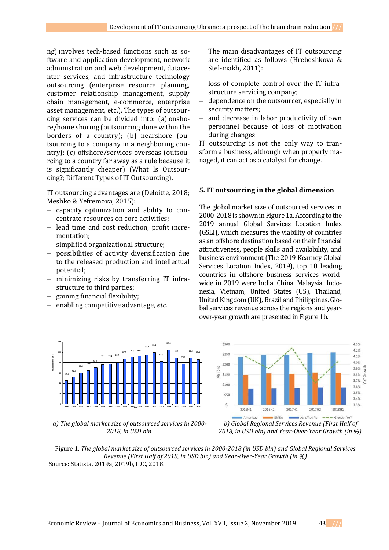ng) involves tech-based functions such as software and application development, network administration and web development, datacenter services, and infrastructure technology outsourcing (enterprise resource planning, customer relationship management, supply chain management, e-commerce, enterprise asset management, etc.). The types of outsourcing services can be divided into: (a) onshore/home shoring (outsourcing done within the borders of a country); (b) nearshore (outsourcing to a company in a neighboring country); (c) offshore/services overseas (outsourcing to a country far away as a rule because it is significantly cheaper) (What Is Outsourcing?; Different Types of IT Outsourcing).

IT outsourcing advantages are (Deloitte, 2018; Meshko & Yefremova, 2015):

- capacity optimization and ability to concentrate resources on core activities;
- lead time and cost reduction, profit incrementation;
- simplified organizational structure;
- possibilities of activity diversification due to the released production and intellectual potential;
- minimizing risks by transferring IT infrastructure to third parties;
- gaining financial flexibility;

**45.6 52.4 60.1 64.8 70.0**

**Revenue in bln US \$**

n bln USS

enabling competitive advantage, *etc.*

**76.3 77.1 80.5**

**87.5 91.3 93.1 95.0 99.1 82.9** The main disadvantages of IT outsourcing are identified as follows (Hrebeshkova & Stel-makh, 2011):

- loss of complete control over the IT infrastructure servicing company;
- dependence on the outsourcer, especially in security matters;
- and decrease in labor productivity of own personnel because of loss of motivation during changes.

IT outsourcing is not the only way to transform a business, although when properly managed, it can act as a catalyst for change.

### **5. IT outsourcing in the global dimension**

The global market size of outsourced services in 2000-2018 is shown in Figure 1a.According to the 2019 annual Global Services Location Index (GSLI), which measures the viability of countries as an offshore destination based on their financial attractiveness, people skills and availability, and business environment (The 2019 Kearney Global Services Location Index, 2019), top 10 leading countries in offshore business services worldwide in 2019 were India, China, Malaysia, Indonesia, Vietnam, United States (US), Thailand, United Kingdom (UK), Brazil and Philippines. Global services revenue across the regions and yearover-year growth are presented in Figure 1b.



*a) The global market size of outsourced services in 2000- 2018, in USD bln.*

2000 2001 2002 2003 2004 2005 2006 2007 2008 2009<sub>ven</sub>2010 2011 2012 2013 2014 2015 2016 2017 2018

**Year**

*b) Global Regional Services Revenue (First Half of 2018, in USD bln) and Year-Over-Year Growth (in %).* 

Figure 1. *The global market size of outsourced services in 2000-2018 (in USD bln) and Global Regional Services Revenue (First Half of 2018, in USD bln) and Year-Over-Year Growth (in %)* Source: Statista, 2019a, 2019b, IDC, 2018.

**104.6 88.9 76.9 88.9 85.6**

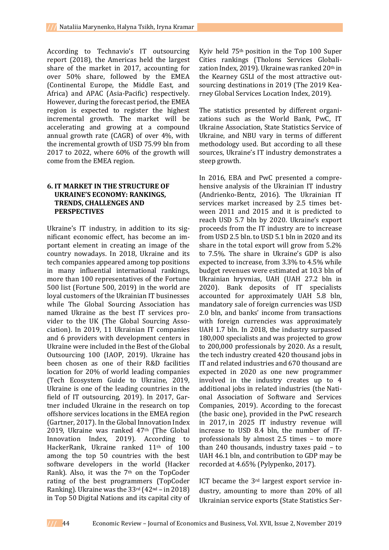According to Technavio's IT outsourcing report (2018), the Americas held the largest share of the market in 2017, accounting for over 50% share, followed by the EMEA (Continental Europe, the Middle East, and Africa) and APAC (Asia-Pacific) respectively. However, during the forecast period, the EMEA region is expected to register the highest incremental growth. The market will be accelerating and growing at a compound annual growth rate (CAGR) of over 4%, with the incremental growth of USD 75.99 bln from 2017 to 2022, where 60% of the growth will come from the EMEA region.

# **6. IT MARKET IN THE STRUCTURE OF UKRAINE'S ECONOMY: RANKINGS, TRENDS, CHALLENGES AND PERSPECTIVES**

Ukraine's IT industry, in addition to its significant economic effect, has become an important element in creating an image of the country nowadays. In 2018, Ukraine and its tech companies appeared among top positions in many influential international rankings, more than 100 representatives of the Fortune 500 list (Fortune 500, 2019) in the world are loyal customers of the Ukrainian IT businesses while The Global Sourcing Association has named Ukraine as the best IT services provider to the UK (The Global Sourcing Association). In 2019, 11 Ukrainian IT companies and 6 providers with development centers in Ukraine were included in the Best of the Global Outsourcing 100 (IAOP, 2019). Ukraine has been chosen as one of their R&D facilities location for 20% of world leading companies (Tech Ecosystem Guide to Ukraine, 2019, Ukraine is one of the leading countries in the field of IT outsourcing, 2019). In 2017, Gartner included Ukraine in the research on top offshore services locations in the EMEA region (Gartner, 2017). In the Global Innovation Index 2019, Ukraine was ranked 47th (The Global Innovation Index, 2019). According to HackerRank, Ukraine ranked 11th of 100 among the top 50 countries with the best software developers in the world (Hacker Rank). Also, it was the 7<sup>th</sup> on the TopCoder rating of the best programmers (TopCoder Ranking). Ukraine was the 33rd (42nd – in 2018) in Top 50 Digital Nations and its capital city of

Kyiv held 75th position in the Top 100 Super Cities rankings (Tholons Services Globalization Index, 2019). Ukraine was ranked 20th in the Kearney GSLI of the most attractive outsourcing destinations in 2019 (The 2019 Kearney Global Services Location Index, 2019).

The statistics presented by different organizations such as the World Bank, PwC, IT Ukraine Association, State Statistics Service of Ukraine, and NBU vary in terms of different methodology used. But according to all these sources, Ukraine's IT industry demonstrates a steep growth.

In 2016, EBA and PwC presented a comprehensive analysis of the Ukrainian IT industry (Andrienko-Bentz, 2016). The Ukrainian IT services market increased by 2.5 times between 2011 and 2015 and it is predicted to reach USD 5.7 bln by 2020. Ukraine's export proceeds from the IT industry are to increase from USD 2.5 bln. to USD 5.1 bln in 2020 and its share in the total export will grow from 5.2% to 7.5%. The share in Ukraine's GDP is also expected to increase, from 3.3% to 4.5% while budget revenues were estimated at 10.3 bln of Ukrainian hryvnias, UAH (UAH 27.2 bln in 2020). Bank deposits of IT specialists accounted for approximately UAH 5.8 bln, mandatory sale of foreign currencies was USD 2.0 bln, and banks' income from transactions with foreign currencies was approximately UAH 1.7 bln. In 2018, the industry surpassed 180,000 specialists and was projected to grow to 200,000 professionals by 2020. As a result, the tech industry created 420 thousand jobs in IT and related industries and 670 thousand are expected in 2020 as one new programmer involved in the industry creates up to 4 additional jobs in related industries (the National Association of Software and Services Companies, 2019). According to the forecast (the basic one), provided in the PwC research in 2017, in 2025 IT industry revenue will increase to USD 8.4 bln, the number of ITprofessionals by almost 2.5 times – to more than 240 thousands, industry taxes paid – to UAH 46.1 bln, and contribution to GDP may be recorded at 4.65% (Pylypenko, 2017).

ICT became the 3rd largest export service industry, amounting to more than 20% of all Ukrainian service exports (State Statistics Ser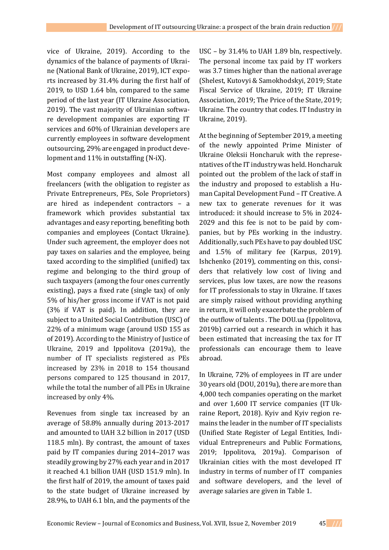vice of Ukraine, 2019). According to the dynamics of the balance of payments of Ukraine (National Bank of Ukraine, 2019), ICT exports increased by 31.4% during the first half of 2019, to USD 1.64 bln, compared to the same period of the last year (IT Ukraine Association, 2019). The vast majority of Ukrainian software development companies are exporting IT services and 60% of Ukrainian developers are currently employees in software development outsourcing, 29% are engaged in product development and 11% in outstaffing (N-iX).

Most company employees and almost all freelancers (with the obligation to register as Private Entrepreneurs, PEs, Sole Proprietors) are hired as independent contractors – a framework which provides substantial tax advantages and easy reporting, benefiting both companies and employees (Contact Ukraine). Under such agreement, the employer does not pay taxes on salaries and the employee, being taxed according to the simplified (unified) tax regime and belonging to the third group of such taxpayers (among the four ones currently existing), pays a fixed rate (single tax) of only 5% of his/her gross income if VAT is not paid (3% if VAT is paid). In addition, they are subject to a United Social Contribution (USC) of 22% of a minimum wage (around USD 155 as of 2019). According to the Ministry of Justice of Ukraine, 2019 and Ippolitova (2019a), the number of IT specialists registered as PEs increased by 23% in 2018 to 154 thousand persons compared to 125 thousand in 2017, while the total the number of all PEs in Ukraine increased by only 4%.

Revenues from single tax increased by an average of 58.8% annually during 2013-2017 and amounted to UAH 3.2 billion in 2017 (USD 118.5 mln). By contrast, the amount of taxes paid by IT companies during 2014–2017 was steadily growing by 27% each year and in 2017 it reached 4.1 billion UAH (USD 151.9 mln). In the first half of 2019, the amount of taxes paid to the state budget of Ukraine increased by 28.9%, to UAH 6.1 bln, and the payments of the

USC – by 31.4% to UAH 1.89 bln, respectively. The personal income tax paid by IT workers was 3.7 times higher than the national average (Shelest, Kutovyi & Samokhodskyi, 2019; State Fiscal Service of Ukraine, 2019; IT Ukraine Association, 2019; The Price of the State, 2019; Ukraine. The country that codes. IT Industry in Ukraine, 2019).

At the beginning of September 2019, a meeting of the newly appointed Prime Minister of Ukraine Oleksii Honcharuk with the representatives of the IT industry was held. Honcharuk pointed out the problem of the lack of staff in the industry and proposed to establish a Human Capital Development Fund – IT Creative. A new tax to generate revenues for it was introduced: it should increase to 5% in 2024- 2029 and this fee is not to be paid by companies, but by PEs working in the industry. Additionally, such PEs have to pay doubled USC and 1.5% of military fee (Karpus, 2019). Ishchenko (2019), commenting on this, considers that relatively low cost of living and services, plus low taxes, are now the reasons for IT professionals to stay in Ukraine. If taxes are simply raised without providing anything in return, it will only exacerbate the problem of the outflow of talents . The DOU.ua (Ippolitova, 2019b) carried out a research in which it has been estimated that increasing the tax for IT professionals can encourage them to leave abroad.

In Ukraine, 72% of employees in IT are under 30 years old (DOU, 2019a), there are more than 4,000 tech companies operating on the market and over 1,600 IT service companies (IT Ukraine Report, 2018). Kyiv and Kyiv region remains the leader in the number of IT specialists (Unified State Register of Legal Entities, Individual Entrepreneurs and Public Formations, 2019; Ippolitova, 2019a). Comparison of Ukrainian cities with the most developed IT industry in terms of number of IT companies and software developers, and the level of average salaries are given in Table 1.

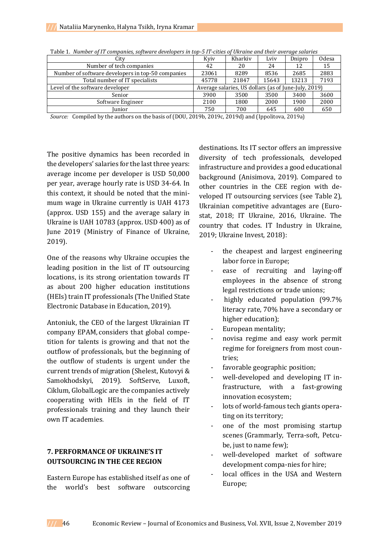| City                                              | Kviv                                                 | Kharkiv | Lviv  | Dnipro | Odesa |
|---------------------------------------------------|------------------------------------------------------|---------|-------|--------|-------|
| Number of tech companies                          | 42                                                   | 20      | 24    | 12     | 15    |
| Number of software developers in top-50 companies | 23061                                                | 8289    | 8536  | 2685   | 2883  |
| Total number of IT specialists                    | 45778                                                | 21847   | 15643 | 13213  | 7193  |
| Level of the software developer                   | Average salaries, US dollars (as of June-July, 2019) |         |       |        |       |
| Senior                                            | 3900                                                 | 3500    | 3500  | 3400   | 3600  |
| Software Engineer                                 | 2100                                                 | 1800    | 2000  | 1900   | 2000  |
| Iunior                                            | 750                                                  | 700     | 645   | 600    | 650   |

|  |  |  | Table 1. Number of IT companies, software developers in top-5 IT-cities of Ukraine and their average salaries |  |
|--|--|--|---------------------------------------------------------------------------------------------------------------|--|
|  |  |  |                                                                                                               |  |

*Source:* Compiled by the authors on the basis of (DOU, 2019b, 2019c, 2019d) and (Ippolitova, 2019a)

The positive dynamics has been recorded in the developers' salaries for the last three years: average income per developer is USD 50,000 per year, average hourly rate is USD 34-64. In this context, it should be noted that the minimum wage in Ukraine currently is UAH 4173 (approx. USD 155) and the average salary in Ukraine is UAH 10783 (approx. USD 400) as of June 2019 (Ministry of Finance of Ukraine, 2019).

One of the reasons why Ukraine occupies the leading position in the list of IT outsourcing locations, is its strong orientation towards IT as about 200 higher education institutions (HEIs) train IT professionals (The Unified State Electronic Database in Education, 2019).

Antoniuk, the CEO of the largest Ukrainian IT company EPAM, considers that global competition for talents is growing and that not the outflow of professionals, but the beginning of the outflow of students is urgent under the current trends of migration (Shelest, Kutovyi & Samokhodskyi, 2019). SoftServe, Luxoft, Ciklum, GlobalLogic are the companies actively cooperating with HEIs in the field of IT professionals training and they launch their own IT academies.

# **7. PERFORMANCE OF UKRAINE'S IT OUTSOURCING IN THE CEE REGION**

Eastern Europe has established itself as one of the world's best software outscorcing

destinations. Its IT sector offers an impressive diversity of tech professionals, developed infrastructure and provides a good educational background (Anisimova, 2019). Compared to other countries in the CEE region with developed IT outsourcing services (see Table 2), Ukrainian competitive advantages are (Eurostat, 2018; IT Ukraine, 2016, Ukraine. The country that codes. IT Industry in Ukraine, 2019; Ukraine Invest, 2018):

- the cheapest and largest engineering labor force in Europe;
- ease of recruiting and laying-off employees in the absence of strong legal restrictions or trade unions;
- highly educated population (99.7%) literacy rate, 70% have a secondary or higher education);
- European mentality;
- novisa regime and easy work permit regime for foreigners from most countries;
- favorable geographic position;
- well-developed and developing IT infrastructure, with a fast-growing innovation ecosystem;
- lots of world-famous tech giants operating on its territory;
- one of the most promising startup scenes (Grammarly, Terra-soft, Petcube, just to name few);
- well-developed market of software development compa-nies for hire;
- local offices in the USA and Western Europe;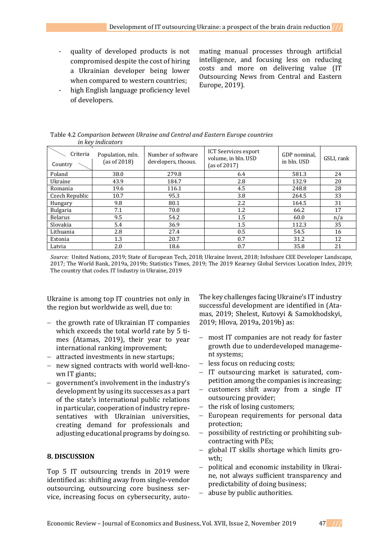- quality of developed products is not compromised despite the cost of hiring a Ukrainian developer being lower when compared to western countries;
- high English language proficiency level of developers.

mating manual processes through artificial intelligence, and focusing less on reducing costs and more on delivering value (IT Outsourcing News from Central and Eastern Europe, 2019).

|                   | Table 4.2 Comparison between Ukraine and Central and Eastern Europe countries |
|-------------------|-------------------------------------------------------------------------------|
| in key indicators |                                                                               |
|                   |                                                                               |

| <br>Criteria<br>Country | Population, mln.<br>(as of $2018$ ) | Number of software<br>developers, thoous. | <b>ICT Seervices export</b><br>volume, in bln. USD<br>(as of $2017$ ) | GDP nominal.<br>in bln. USD | GSLI, rank |
|-------------------------|-------------------------------------|-------------------------------------------|-----------------------------------------------------------------------|-----------------------------|------------|
| Poland                  | 38.0                                | 279.8                                     | 6.4                                                                   | 581.3                       | 24         |
| Ukraine                 | 43.9                                | 184.7                                     | 2.8                                                                   | 132.9                       | 20         |
| Romania                 | 19.6                                | 116.1                                     | 4.5                                                                   | 248.8                       | 28         |
| Czech Republic          | 10.7                                | 95.3                                      | 3.8                                                                   | 264.5                       | 33         |
| Hungary                 | 9.8                                 | 80.1                                      | $2.2\phantom{0}$                                                      | 164.5                       | 31         |
| <b>Bulgaria</b>         | 7.1                                 | 70.0                                      | 1.2                                                                   | 66.2                        | 17         |
| <b>Belarus</b>          | 9.5                                 | 54.2                                      | 1.5                                                                   | 60.0                        | n/a        |
| Slovakia                | 5.4                                 | 36.9                                      | 1.5                                                                   | 112.3                       | 35         |
| Lithuania               | 2.8                                 | 27.4                                      | 0.5                                                                   | 54.5                        | 16         |
| Estonia                 | 1.3                                 | 20.7                                      | 0.7                                                                   | 31.2                        | 12         |
| Latvia                  | 2.0                                 | 18.6                                      | 0.7                                                                   | 35.8                        | 21         |

*Source:* United Nations, 2019; State of European Tech, 2018; Ukraine Invest, 2018; Infoshare CEE Developer Landscape, 2017; The World Bank, 2019a, 2019b; Statistics Times, 2019; The 2019 Kearney Global Services Location Index, 2019; The country that codes. IT Industry in Ukraine, 2019

Ukraine is among top IT countries not only in the region but worldwide as well, due to:

- $-$  the growth rate of Ukrainian IT companies which exceeds the total world rate by 5 times (Atamas, 2019), their year to year international ranking improvement;
- attracted investments in new startups;
- new signed contracts with world well-known IT giants;
- government's involvement in the industry's development by using its successes as a part of the state's international public relations in particular, cooperation of industry representatives with Ukrainian universities, creating demand for professionals and adjusting educational programs by doing so.

## **8. DISCUSSION**

Top 5 IT outsourcing trends in 2019 were identified as: shifting away from single-vendor outsourcing, outsourcing core business service, increasing focus on cybersecurity, autoThe key challenges facing Ukraine's IT industry successful development are identified in (Atamas, 2019; Shelest, Kutovyi & Samokhodskyi, 2019; Hlova, 2019a, 2019b) as:

- most IT companies are not ready for faster growth due to underdeveloped management systems;
- less focus on reducing costs;
- IT outsourcing market is saturated, competition among the companies is increasing;
- customers shift away from a single IT outsourcing provider;
- $-$  the risk of losing customers;
- European requirements for personal data protection;
- possibility of restricting or prohibiting subcontracting with PEs;
- global IT skills shortage which limits growth;
- political and economic instability in Ukraine, not always sufficient transparency and predictability of doing business;
- abuse by public authorities.

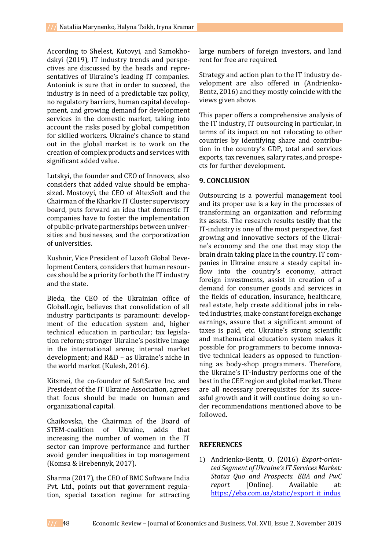According to Shelest, Kutovyi, and Samokhodskyi (2019), IT industry trends and perspectives are discussed by the heads and representatives of Ukraine's leading IT companies. Antoniuk is sure that in order to succeed, the industry is in need of a predictable tax policy, no regulatory barriers, human capital developpment, and growing demand for development services in the domestic market, taking into account the risks posed by global competition for skilled workers. Ukraine's chance to stand out in the global market is to work on the creation of complex products and services with significant added value.

Lutskyi, the founder and CEO of Innovecs, also considers that added value should be emphasized. Mostovyi, the CEO of AltexSoft and the Chairman of the Kharkiv IT Cluster supervisory board, puts forward an idea that domestic IT companies have to foster the implementation of public-private partnerships between universities and businesses, and the corporatization of universities.

Kushnir, Vice President of Luxoft Global Development Centers, considers that human resources should be a priority for both the IT industry and the state.

Bieda, the CEO of the Ukrainian office of GlobalLogic, believes that consolidation of all industry participants is paramount: development of the education system and, higher technical education in particular; tax legislation reform; stronger Ukraine's positive image in the international arena; internal market development; and R&D – as Ukraine's niche in the world market (Kulesh, 2016).

Kitsmei, the co-founder of SoftServe Inc. and President of the IT Ukraine Association, agrees that focus should be made on human and organizational capital.

Chaikovska, the Chairman of the Board of STEM-coalition of Ukraine, adds that increasing the number of women in the IT sector can improve performance and further avoid gender inequalities in top management (Komsa & Hrebennyk, 2017).

Sharma (2017), the CEO of BMC Software India Pvt. Ltd., points out that government regulation, special taxation regime for attracting large numbers of foreign investors, and land rent for free are required.

Strategy and action plan to the IT industry development are also offered in (Andrienko-Bentz, 2016) and they mostly coincide with the views given above.

This paper offers a comprehensive analysis of the IT industry, IT outsourcing in particular, in terms of its impact on not relocating to other countries by identifying share and contribution in the country's GDP, total and services exports, tax revenues, salary rates, and prospects for further development.

## **9. CONCLUSION**

Outsourcing is a powerful management tool and its proper use is a key in the processes of transforming an organization and reforming its assets. The research results testify that the ІТ-industry is one of the most perspective, fast growing and innovative sectors of the Ukraine's economy and the one that may stop the brain drain taking place in the country. IT companies in Ukraine ensure a steady capital inflow into the country's economy, attract foreign investments, assist in creation of a demand for consumer goods and services in the fields of education, insurance, healthcare, real estate, help create additional jobs in related industries, make constant foreign exchange earnings, assure that a significant amount of taxes is paid, etc. Ukraine's strong scientific and mathematical education system makes it possible for programmers to become innovative technical leaders as opposed to functionning as body-shop programmers. Therefore, the Ukraine's ІТ-industry performs one of the best in the CEE region and global market. There are all necessary prerequisites for its successful growth and it will continue doing so under recommendations mentioned above to be followed.

## **REFERENCES**

1) Andrienko-Bentz, O. (2016) *Export-oriented Segment of Ukraine's IT Services Market: Status Quo and Prospects. EBA and PwC report* [Online]. Available at: [https://eba.com.ua/static/export\\_it\\_indus](https://eba.com.ua/static/export_it_industryfinal_29092016.pdf)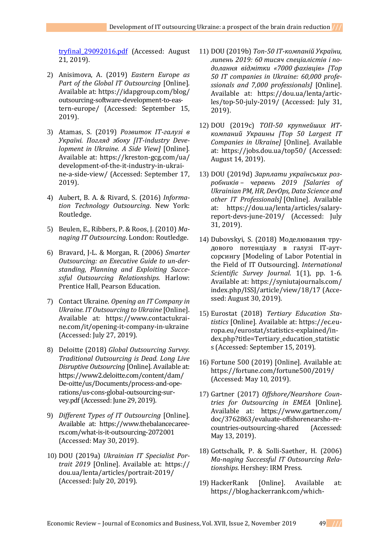[tryfinal\\_29092016.pdf](https://eba.com.ua/static/export_it_industryfinal_29092016.pdf) (Accessed: August 21, 2019).

- 2) Anisimova, A. (2019) *Eastern Europe as Part of the Global IT Outsourcing* [Online]. Available at[: https://idapgroup.com/blog/](https://idapgroup.com/blog/outsourcing-software-development-to-eastern-europe/) [outsourcing-software-development-to-eas](https://idapgroup.com/blog/outsourcing-software-development-to-eastern-europe/)[tern-europe/](https://idapgroup.com/blog/outsourcing-software-development-to-eastern-europe/) (Accessed: September 15, 2019).
- 3) Atamas, S. (2019) *Розвиток IT-галузі в Україні. Погляд збоку [IT-industry Development in Ukraine. A Side View]* [Online]. Available at: [https://kreston-gcg.com/ua/](https://kreston-gcg.com/ua/%20development-of-the-it-industry-in-ukrai-ne-a-side-view/)  [development-of-the-it-industry-in-ukrai](https://kreston-gcg.com/ua/%20development-of-the-it-industry-in-ukrai-ne-a-side-view/)[ne-a-side-view/](https://kreston-gcg.com/ua/%20development-of-the-it-industry-in-ukrai-ne-a-side-view/) (Accessed: September 17, 2019).
- 4) Aubert, B. A. & Rivard, S. (2016) *Information Technology Outsourcing*. New York: Routledge.
- 5) Beulen, E., Ribbers, P. & Roos, J. (2010) *Managing IT Outsourcing*. London: Routledge.
- 6) Bravard, J-L. & Morgan, R. (2006) *Smarter Outsourcing: an Executive Guide to un-derstanding, Planning and Exploiting Successful Outsourcing Relationships.* Harlow: Prentice Hall, Pearson Education.
- 7) Contact Ukraine. *Opening an IT Company in Ukraine. IT Outsourcing to Ukraine* [Online]. Available at: [https://www.contactukrai](https://www.contactukrai-ne.com/it/opening-it-company-in-ukraine)[ne.com/it/opening-it-company-in-ukraine](https://www.contactukrai-ne.com/it/opening-it-company-in-ukraine) (Accessed: July 27, 2019).
- 8) Deloitte (2018) *Global Outsourcing Survey. Traditional Outsourcing is Dead. Long Live Disruptive Outsourcing* [Online]. Available at: [https://www2.deloitte.com/content/d](https://www2.deloitte.com/content/)am/ De-oitte/us/Documents/process-and-operations/us-cons-global-outsourcing-survey.pdf(Accessed: June 29, 2019).
- 9) *Different Types of IT Outsourcing* [Online]. Available at: [https://www.thebalancecaree](https://www.thebalancecaree-rs.com/what-is-it-outsourcing-2072001)[rs.com/what-is-it-outsourcing-2072001](https://www.thebalancecaree-rs.com/what-is-it-outsourcing-2072001) (Accessed: May 30, 2019).
- 10) DOU (2019a) *Ukrainian IT Specialist Portrait 2019* [Online]. Available at: https:// dou.ua/lenta/articles/portrait-2019/ (Accessed: July 20, 2019).
- 11) DOU (2019b) *Топ-50 ІТ-компаній України, липень 2019: 60 тисяч спеціалістів і подолання відмітки «7000 фахівців» [Top 50 IT companies in Ukraine: 60,000 professionals and 7,000 professionals]* [Online]. Available at: [https://dou.ua/lenta/artic](https://dou.ua/lenta/artic-les/top-50-july-2019/)[les/top-50-july-2019/](https://dou.ua/lenta/artic-les/top-50-july-2019/) (Accessed: July 31, 2019).
- 12) DOU (2019c) *ТОП-50 крупнейших ИТкомпаний Украины [Top 50 Largest IT Companies in Ukraine]* [Online]. Available at:<https://jobs.dou.ua/top50/> (Accessed: August 14, 2019).
- 13) DOU (2019d) *Зарплати українських розробників – червень 2019 [Salaries of Ukrainian PM, HR, DevOps, Data Science and other IT Professionals]* [Online]. Available at: [https://dou.ua/lenta/articles/salary](https://dou.ua/lenta/articles/salary-report-devs-june-2019/)[report-devs-june-2019/](https://dou.ua/lenta/articles/salary-report-devs-june-2019/) (Accessed: July 31, 2019).
- 14) Dubovskyi, S. (2018) Моделювання трудового потенціалу в галузі IT-аутсорсингу [Modeling of Labor Potential in the Field of IT Outsourcing]. *International Scientific Survey Journal*. 1(1), pp. 1-6. Available at:<https://syniutajournals.com/> index.php/ISSJ/article/view/18/17 (Accessed: August 30, 2019).
- 15) Eurostat (2018) *Tertiary Education Statistics* [Online]. Available at: [https://ec.eu](https://ec.eu-ropa.eu/eurostat/statistics-explained/in-dex.php?title=Tertiary_education_statistics)[ropa.eu/eurostat/statistics-explained/in](https://ec.eu-ropa.eu/eurostat/statistics-explained/in-dex.php?title=Tertiary_education_statistics)[dex.php?title=Tertiary\\_education\\_statistic](https://ec.eu-ropa.eu/eurostat/statistics-explained/in-dex.php?title=Tertiary_education_statistics) [s](https://ec.eu-ropa.eu/eurostat/statistics-explained/in-dex.php?title=Tertiary_education_statistics) (Accessed: September 15, 2019).
- 16) Fortune 500 (2019) [Online]. Available at: <https://fortune.com/fortune500/2019/> (Accessed: May 10, 2019).
- 17) Gartner (2017) *Offshore/Nearshore Countries for Outsourcing in EMEA* [Online]. Available at: [https://www.gartner.com/](https://www.gartner.com/%20doc/3762863/evaluate-offshorenearsho-re-countries-outsourcing-shared)  [doc/3762863/evaluate-offshorenearsho-re](https://www.gartner.com/%20doc/3762863/evaluate-offshorenearsho-re-countries-outsourcing-shared)[countries-outsourcing-shared](https://www.gartner.com/%20doc/3762863/evaluate-offshorenearsho-re-countries-outsourcing-shared) (Accessed: May 13, 2019).
- 18) Gottschalk, P. & Solli-Saether, H. (2006) *Ma-naging Successful IT Outsourcing Relationships*. Hershey: IRM Press.
- 19) HackerRank [Online]. Available at: [https://blog.hackerrank.com/which-](https://blog.hackerrank.com/which-country-would-win-in-theprogramming-olympics/)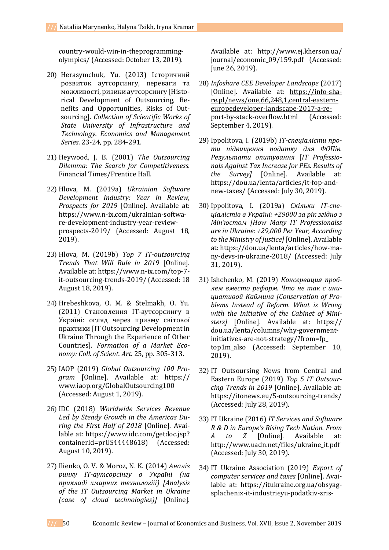[country-would-win-in-theprogramming](https://blog.hackerrank.com/which-country-would-win-in-theprogramming-olympics/)[olympics/](https://blog.hackerrank.com/which-country-would-win-in-theprogramming-olympics/) (Accessed: October 13, 2019).

- 20) Herasymchuk, Yu. (2013) Історичний розвиток аутсорсингу, переваги та можливості, ризики аутсорсингу [Historical Development of Outsourcing, Benefits and Opportunities, Risks of Outsourcing]. *Collection of Scientific Works of State University of Infrastructure and Technology. Economics and Management Series*. 23-24, pp. 284-291.
- 21) Heywood, J. B. (2001) *The Outsourcing Dilemma: The Search for Competitiveness*. Financial Times/Prentice Hall.
- 22) Hlova, M. (2019a) *Ukrainian Software Development Industry: Year in Review, Prospects for 2019* [Online]. Available at: [https://www.n-ix.com/ukrainian-softwa](https://www.n-ix.com/ukrainian-softwa-re-development-industry-year-review-prospects-2019/)[re-development-industry-year-review](https://www.n-ix.com/ukrainian-softwa-re-development-industry-year-review-prospects-2019/)[prospects-2019/](https://www.n-ix.com/ukrainian-softwa-re-development-industry-year-review-prospects-2019/) (Accessed: August 18, 2019).
- 23) Hlova, M. (2019b) *Top 7 IT-outsourcing Trends That Will Rule in 2019* [Online]. Available at: [https://www.n-ix.com/top-7](https://www.n-ix.com/top-7-it-outsourcing-trends-2019/) [it-outsourcing-trends-2019/](https://www.n-ix.com/top-7-it-outsourcing-trends-2019/) (Accessed: 18 August 18, 2019).
- 24) Hrebeshkova, O. M. & Stelmakh, O. Yu. (2011) Становлення ІТ-аутсорсингу в Україні: огляд через призму світової практики [IT Outsourcing Development in Ukraine Through the Experience of Other Countries]. *Formation of a Market Economy: Coll. of Scient. Art.* 25, pp. 305-313.
- 25) IAOP (2019) *Global Outsourcing 100 Program* [Online]. Available at: https:// www.iaop.org/GlobalOutsourcing100 (Accessed: August 1, 2019).
- 26) IDC (2018) *Worldwide Services Revenue Led by Steady Growth in the Americas During the First Half of 2018* [Online]. Available at: [https://www.idc.com/getdoc.jsp?](https://www.idc.com/getdoc.jsp?%20containerId=prUS44448618)  [containerId=prUS44448618\)](https://www.idc.com/getdoc.jsp?%20containerId=prUS44448618) (Accessed: August 10, 2019).
- 27) Ilienko, O. V. & Moroz, N. K. (2014) *Аналіз ринку ІТ-аутсорсінгу в Україні (на прикладі хмарних технологій) [Analysis of the IT Outsourcing Market in Ukraine (case of cloud technologies)]* [Online].

Available at: [http://www.ej.kherson.ua/](http://www.ej.kherson.ua/%20journal/economic_09/159.pdf)  [journal/economic\\_09/159.pdf](http://www.ej.kherson.ua/%20journal/economic_09/159.pdf) (Accessed: June 26, 2019).

- 28) *Infoshare CEE Developer Landscape* (2017) [Online]. Available at: [https://info-sha](https://info-sha-re.pl/news/one,66,248,1,central-eastern-europedeveloper-landscape-2017-a-re-port-by-stack-overflow.html)[re.pl/news/one,66,248,1,central-eastern](https://info-sha-re.pl/news/one,66,248,1,central-eastern-europedeveloper-landscape-2017-a-re-port-by-stack-overflow.html)[europedeveloper-landscape-2017-a-re](https://info-sha-re.pl/news/one,66,248,1,central-eastern-europedeveloper-landscape-2017-a-re-port-by-stack-overflow.html)[port-by-stack-overflow.html](https://info-sha-re.pl/news/one,66,248,1,central-eastern-europedeveloper-landscape-2017-a-re-port-by-stack-overflow.html) (Accessed: September 4, 2019).
- 29) Ippolitova, I. (2019b) *ІТ-спеціалісти проти підвищення податку для ФОПів. Результати опитування* [*IT Professionals Against Tax Increase for PEs. Results of the Survey]* [Online]. Available at: [https://dou.ua/lenta/articles/it-fop-and](https://dou.ua/lenta/articles/it-fop-and-new-taxes/)[new-taxes/](https://dou.ua/lenta/articles/it-fop-and-new-taxes/) (Accessed: July 30, 2019).
- 30) Ippolitova, I. (2019a) *Скільки ІТ-спеціалістів в Україні: +29000 за рік згідно з Мін'юстом [How Many IT Professionalss are in Ukraine: +29,000 Per Year, According to the Ministry of Justice]* [Online]. Available at: [https://dou.ua/lenta/articles/how-ma](https://dou.ua/lenta/articles/how-ma-ny-devs-in-ukraine-2018/)[ny-devs-in-ukraine-2018/](https://dou.ua/lenta/articles/how-ma-ny-devs-in-ukraine-2018/) (Accessed: July 31, 2019).
- 31) Ishchenko, M. (2019) *Консервация проблем вместо реформ. Что не так с инициативой Кабмина [Conservation of Problems Instead of Reform. What is Wrong with the Initiative of the Cabinet of Ministers]* [Online]. Available at: https:// dou.ua/lenta/columns/why-governmentinitiatives-are-not-strategy/?from=fp\_ top1m\_also (Accessed: September 10, 2019).
- 32) IT Outsoursing News from Central and Eastern Europe (2019) *Top 5 IT Outsourcing Trends in 2019* [Online]. Available at: <https://itonews.eu/5-outsourcing-trends/> (Accessed: July 28, 2019).
- 33) IT Ukraine (2016) *IT Services and Software R & D in Europe's Rising Tech Nation. From A to Z* [Online]. Available at: [http://www.uadn.net/files/ukraine\\_it.pdf](http://www.uadn.net/files/ukraine_it.pdf) (Accessed: July 30, 2019).
- 34) IT Ukraine Association (2019) *Export of computer services and taxes* [Online]. Available at: [https://itukraine.org.ua/obsyag](https://itukraine.org.ua/obsyag-splachenix-it-іndustrієyu-podatkіv-zrіs-majzhe-na-tretinu.html)[splachenix-it-](https://itukraine.org.ua/obsyag-splachenix-it-іndustrієyu-podatkіv-zrіs-majzhe-na-tretinu.html)іndustrієyu-podatkіv-zrіs-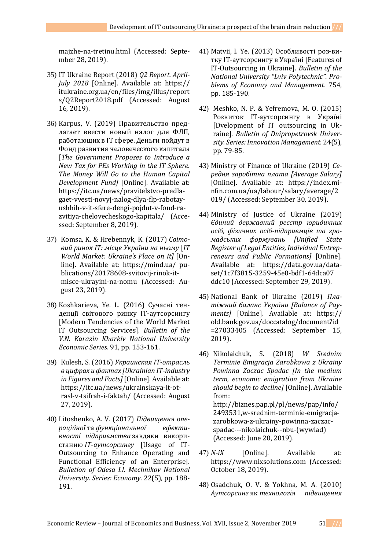[majzhe-na-tretinu.html](https://itukraine.org.ua/obsyag-splachenix-it-іndustrієyu-podatkіv-zrіs-majzhe-na-tretinu.html) (Accessed: September 28, 2019).

- 35) IT Ukraine Report (2018) *Q2 Report. April-July 2018* [Online]. Available at: https:// itukraine.org.ua/en/files/img/illus/report s/Q2Report2018.pdf (Accessed: August 16, 2019).
- 36) Karpus, V. (2019) Правительство предлагает ввести новый налог для ФЛП, работающих в ІТ сфере. Деньги пойдут в Фонд развития человеческого капитала [*The Government Proposes to Introduce a New Tax for PEs Working in the IT Sphere. The Money Will Go to the Human Capital Development Fund]* [Online]. Available at: [https://itc.ua/news/pravitelstvo-predla](https://itc.ua/news/pravitelstvo-predla-gaet-vvesti-novyj-nalog-dlya-flp-rabotay-ushhih-v-it-sfere-dengi-pojdut-v-fond-ra-zvitiya-chelovecheskogo-kapitala/)[gaet-vvesti-novyj-nalog-dlya-flp-rabotay](https://itc.ua/news/pravitelstvo-predla-gaet-vvesti-novyj-nalog-dlya-flp-rabotay-ushhih-v-it-sfere-dengi-pojdut-v-fond-ra-zvitiya-chelovecheskogo-kapitala/)[ushhih-v-it-sfere-dengi-pojdut-v-fond-ra](https://itc.ua/news/pravitelstvo-predla-gaet-vvesti-novyj-nalog-dlya-flp-rabotay-ushhih-v-it-sfere-dengi-pojdut-v-fond-ra-zvitiya-chelovecheskogo-kapitala/)[zvitiya-chelovecheskogo-kapitala/](https://itc.ua/news/pravitelstvo-predla-gaet-vvesti-novyj-nalog-dlya-flp-rabotay-ushhih-v-it-sfere-dengi-pojdut-v-fond-ra-zvitiya-chelovecheskogo-kapitala/) (Accessed: September 8, 2019).
- 37) Komsa, K. & Hrebennyk, K. (2017) *Світовий ринок ІТ: місце України на ньому* [*IT World Market: Ukraine's Place on It]* [Online]. Available at: [https://mind.ua/ pu](https://mind.ua/%20pu-blications/20178608-svitovij-rinok-it-misce-ukrayini-na-nomu)[blications/20178608-svitovij-rinok-it](https://mind.ua/%20pu-blications/20178608-svitovij-rinok-it-misce-ukrayini-na-nomu)[misce-ukrayini-na-nomu](https://mind.ua/%20pu-blications/20178608-svitovij-rinok-it-misce-ukrayini-na-nomu) (Accessed: August 23, 2019).
- 38) Koshkarieva, Ye. L. (2016) Сучасні тенденції світового ринку ІТ-аутсорсингу [Modern Tendencies of the World Market IT Outsourcing Services]. *Bulletin of the V.N. Karazin Kharkiv National University Economic Series*. 91, pp. 153-161.
- 39) Kulesh, S. (2016) *Украинская IT-отрасль в цифрах и фактах [Ukrainian IT-industry in Figures and Facts]* [Online]. Available at: [https://itc.ua/news/ukrainskaya-it-ot](https://itc.ua/news/ukrainskaya-it-ot-rasl-v-tsifrah-i-faktah/)[rasl-v-tsifrah-i-faktah/](https://itc.ua/news/ukrainskaya-it-ot-rasl-v-tsifrah-i-faktah/) (Accessed: August 27, 2019).
- 40) Litoshenko, A. V. (2017) *Підвищення операційної* та *функціональної ефективності підприємства* завдяки використанню *ІТ*-*аутсорсингу* [Usage of IT-Outsourcing to Enhance Operating and Functional Efficiency of an Enterprise]. *Bulletion of Odesa I.I. Mechnikov National University. Series: Economy*. 22(5), pp. 188- 191.
- 41) Matvii, I. Ye. (2013) Особливості роз-витку ІТ-аутсорсингу в Україні [Features of IT-Outsourcing in Ukraine]. *Bulletin of the National University "Lviv Polytechnic". Problems of Economy and Management*. 754, pp. 185-190.
- 42) Meshko, N. P. & Yefremova, M. O. (2015) Розвиток ІТ-аутсорсингу в Україні [Dvelopment of IT outsourcing in Ukraine]. *Bulletin of Dnipropetrovsk University. Series: Innovation Management.* 24(5), pp. 79-85.
- 43) Ministry of Finance of Ukraine (2019) *Середня заробітна плата [Average Salary]* [Online]. Available at: [https://index.mi](https://index.mi-nfin.com.ua/ua/labour/salary/average/2019/)[nfin.com.ua/ua/labour/salary/average/2](https://index.mi-nfin.com.ua/ua/labour/salary/average/2019/) [019/](https://index.mi-nfin.com.ua/ua/labour/salary/average/2019/) (Accessed: September 30, 2019).
- 44) Ministry of Justice of Ukraine (2019) *Єдиний державний реєстр юридичних осіб, фізичних осіб-підприємців та громадських формувань [Unified State Register of Legal Entities, Individual Entrepreneurs and Public Formations]* [Online]. Available at: [https://data.gov.ua/data](https://data.gov.ua/data-set/1c7f3815-3259-45e0-bdf1-64dca07%20ddc10)[set/1c7f3815-3259-45e0-bdf1-64dca07](https://data.gov.ua/data-set/1c7f3815-3259-45e0-bdf1-64dca07%20ddc10)  [ddc10](https://data.gov.ua/data-set/1c7f3815-3259-45e0-bdf1-64dca07%20ddc10) (Accessed: September 29, 2019).
- 45) National Bank of Ukraine (2019) *Платіжний баланс України [Balance of Payments]* [Online]. Available at: https:// old.bank.gov.ua/doccatalog/document?id =27033405 (Accessed: September 15, 2019).
- 46) Nikolaichuk, S. (2018) *W Srednim Terminie Emigracja Zarobkowa z Ukrainy Powinna Zaczac Spadac [In the medium term, economic emigration from Ukraine should begin to decline]* [Online]. Available from: [http://biznes.pap.pl/pl/news/pap/info/](http://biznes.pap.pl/pl/news/pap/info/2493531,w-srednim-terminie-emigracja-zarobkowa-z-ukrainy-powinna-zaczac-spadac---nikolaichuk--nbu-(wywiad)) [2493531,w-srednim-terminie-emigracja](http://biznes.pap.pl/pl/news/pap/info/2493531,w-srednim-terminie-emigracja-zarobkowa-z-ukrainy-powinna-zaczac-spadac---nikolaichuk--nbu-(wywiad))[zarobkowa-z-ukrainy-powinna-zaczac](http://biznes.pap.pl/pl/news/pap/info/2493531,w-srednim-terminie-emigracja-zarobkowa-z-ukrainy-powinna-zaczac-spadac---nikolaichuk--nbu-(wywiad))[spadac---nikolaichuk--nbu-\(wywiad\)](http://biznes.pap.pl/pl/news/pap/info/2493531,w-srednim-terminie-emigracja-zarobkowa-z-ukrainy-powinna-zaczac-spadac---nikolaichuk--nbu-(wywiad)) (Accessed: June 20, 2019).
- 47) *N-iX* [Online]. Available at: [https://www.nixsolutions.com](https://www.nixsolutions.com/) (Accessed: October 18, 2019).
- 48) Osadchuk, О. V. & Yokhna, M. A. (2010) *Аутсорсинг* як *технологія підвищення*

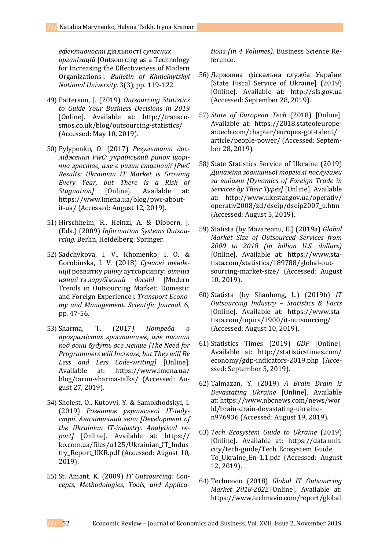*ефективності* діяльності *сучасних організацій* [Outsourcing as a Technology for Increasing the Effectiveness of Modern Organizations]. *Bulletin of Khmelnytskyi National University.* 3(3), pp. 119-122.

- 49) Patterson, J. (2019) *Outsourcing Statistics to Guide Your Business Decisions in 2019* [Online]. Available at: [http://transco](http://transco-smos.co.uk/blog/outsourcing-statistics/)[smos.co.uk/blog/outsourcing-statistics/](http://transco-smos.co.uk/blog/outsourcing-statistics/) (Accessed: May 10, 2019).
- 50) Pylypenko, O. (2017) *Результати дослідження PwC: український ринок щорічно зростає, але є ризик стагнації [PwC Results: Ukrainian IT Market is Growing Every Year, but There is a Risk of Stagnation]* [Online]. Available at: [https://www.imena.ua/blog/pwc-about](https://www.imena.ua/blog/pwc-about-it-ua/)[it-ua/](https://www.imena.ua/blog/pwc-about-it-ua/) (Accessed: August 12, 2019).
- 51) Hirschheim, R., Heinzl, A. & Dibbern, J. (Eds.) (2009) *Information Systems Outsourcing.* Berlin, Heidelberg: Springer.
- 52) Sadchykova, I. V., Khomenko, I. O. & Gorobinska, I. V. (2018) *Сучасні тенденції* розвитку *ринку* аутсорсингу: *вітчиз няний* та *зарубіжний досвід* [Modern Trends in Outsourcing Market: Domestic and Foreign Experience]. *Transport Economy and Management. Scientific Journal.* 6, pp. 47-56.
- 53) Sharma, T. (2017*) Потреба в програмістах зростатиме, але писати код вони будуть все менше [The Need for Programmers will Increase, but They will Be Less and Less Code-writing]* [Online]. Available at: [https://www.imena.ua/](https://www.imena.ua/%20blog/tarun-sharma-talks/)  [blog/tarun-sharma-talks/](https://www.imena.ua/%20blog/tarun-sharma-talks/) (Accessed: August 27, 2019).
- 54) Shelest, O., Kutovyi, Y. & Samokhodskyi, I. (2019) *Розвиток української IT-індустрії. Аналітичний звіт [Development of the Ukrainian IT-industry. Analytical report]* [Online]. Available at: https:// ko.com.ua/files/u125/Ukrainian\_IT\_Indus try\_Report\_UKR.pdf (Accessed: August 10, 2019).
- 55) St. Amant, K. (2009) *IT Outsourcing: Concepts, Methodologies, Tools, and Applica-*

*tions (in 4 Volumes)*. Business Science Reference.

- 56) Державна фіскальна служба України [State Fiscal Service of Ukraine] (2019) [Online]. Available at: [http://sfs.gov.ua](http://sfs.gov.ua/) (Accessed: September 28, 2019).
- 57) *State of European Tech* (2018) [Online]. Available at: https://2018.stateofeuropeantech.com/chapter/europes-got-talent/ article/people-power/ (Accessed: September 28, 2019).
- 58) State Statistics Service of Ukraine (2019) *Динаміка зовнішньої торгівлі послугами за видами [Dynamics of Foreign Trade in Services by Their Types]* [Online]. Available at: [http://www.ukrstat.gov.ua/operativ/](http://www.ukrstat.gov.ua/operativ/%20operativ2008/zd/dseip/dseip2007_u.htm)  [operativ2008/zd/dseip/dseip2007\\_u.htm](http://www.ukrstat.gov.ua/operativ/%20operativ2008/zd/dseip/dseip2007_u.htm) (Accessed: August 5, 2019).
- 59) Statista (by Mazareanu, E.) (2019a) *Global Market Size of Outsourced Services from 2000 to 2018 (in billion U.S. dollars)* [Online]. Available at: [https://www.sta](https://www.sta-tista.com/statistics/189788/global-out-sourcing-market-size/)[tista.com/statistics/189788/global-out](https://www.sta-tista.com/statistics/189788/global-out-sourcing-market-size/)[sourcing-market-size/](https://www.sta-tista.com/statistics/189788/global-out-sourcing-market-size/) (Accessed: August 10, 2019).
- 60) Statista (by Shanhong, L.) (2019b) *IT Outsourcing Industry – Statistics & Facts* [Online]. Available at: [https://www.sta](https://www.sta-tista.com/topics/1900/it-outsourcing/)[tista.com/topics/1900/it-outsourcing/](https://www.sta-tista.com/topics/1900/it-outsourcing/) (Accessed: August 10, 2019).
- 61) Statistics Times (2019) *GDP* [Online]. Available at: [http://statisticstimes.com/](http://statisticstimes.com/%20economy/gdp-indicators-2019.php)  [economy/gdp-indicators-2019.php](http://statisticstimes.com/%20economy/gdp-indicators-2019.php) (Accessed: September 5, 2019).
- 62) Talmazan, Y. (2019) *A Brain Drain is Devastating Ukraine* [Online]. Available at: [https://www.nbcnews.com/news/wor](https://www.nbcnews.com/news/world/brain-drain-devastating-ukraine-n976936) [ld/brain-drain-devastating-ukraine](https://www.nbcnews.com/news/world/brain-drain-devastating-ukraine-n976936)[n976936](https://www.nbcnews.com/news/world/brain-drain-devastating-ukraine-n976936) (Accessed: August 19, 2019).
- 63) *Tech Ecosystem Guide to Ukraine* (2019) [Online]. Available at: https://data.unit. city/tech-guide/Tech\_Ecosystem\_Guide\_ To\_Ukraine\_En-1.1.pdf (Accessed: August 12, 2019).
- 64) Technavio (2018) *Global IT Outsourcing Market 2018-2022* [Online]. Available at: [https://www.technavio.com/report/global](https://www.technavio.com/report/global-it-outsourcing-market-analysis-share-2018)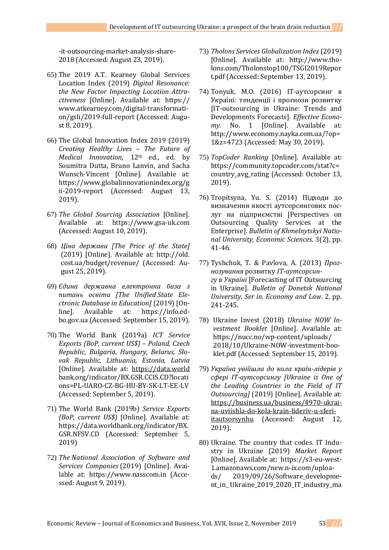[-it-outsourcing-market-analysis-share-](https://www.technavio.com/report/global-it-outsourcing-market-analysis-share-2018)[2018](https://www.technavio.com/report/global-it-outsourcing-market-analysis-share-2018) (Accessed: August 23, 2019).

- 65) The 2019 A.T. Kearney Global Services Location Index (2019) *Digital Resonance: the New Factor Impacting Location Attractiveness* [Online]. Available at: https:// www.atkearney.com/digital-transformation/gsli/2019-full-report (Accessed: August 8, 2019).
- 66) The Global Innovation Index 2019 (2019) *Creating Healthy Lives – The Future of Medical Innovation*, 12th ed., ed. by Soumitra Dutta, Bruno Lanvin, and Sacha Wunsch-Vincent [Online]. Available at: [https://www.globalinnovationindex.org/g](https://www.globalinnovationindex.org/gii-2019-report) [ii-2019-report](https://www.globalinnovationindex.org/gii-2019-report) (Accessed: August 13, 2019).
- 67) *The Global Sourcing Association* [Online]. Available at: [https://www.gsa-uk.com](https://www.gsa-uk.com/) (Accessed: August 10, 2019).
- 68) *Ціна держави [The Price of the State]* (2019) [Online]. Available at: [http://old.](http://old/) cost.ua/budget/revenue/ (Accessed: August 25, 2019).
- 69) *Єдина державна електронна база з питань освіти [The Unified State Electronic Database in Education]* (2019) [Online]. Available at: [https://info.ed](https://info.ed-bo.gov.ua/)[bo.gov.ua](https://info.ed-bo.gov.ua/) (Accessed: September 15, 2019).
- 70) The World Bank (2019a) *ICT Service Exports (BoP, current US\$)* – *Poland, Czech Republic, Bulgaria, Hungary, Belarus, Slovak Republic, Lithuania, Estonia, Latvia* [Online]. Available at: [https://data.world](https://data.world/) bank.org/indicator/BX.GSR.CCIS.CD?locati ons=PL-UARO-CZ-BG-HU-BY-SK-LT-EE-LV (Accessed: September 5, 2019).
- 71) The World Bank (2019b) *Service Exports (BoP, current US\$)* [Online]. Available at: https://data.worldbank.org/indicator/BX. GSR.NFSV.CD (Accessed: September 5, 2019)
- 72) *The National Association of Software and Services Companies* (2019) [Online]. Available at: [https://www.nasscom.in](https://www.nasscom.in/) (Accessed: August 9, 2019).
- 73) *Tholons Services Globalization Index* (2019) [Online]. Available at: [http://www.tho](http://www.tho-lons.com/Tholonstop100/TSGI2019Report.pdf)[lons.com/Tholonstop100/TSGI2019Repor](http://www.tho-lons.com/Tholonstop100/TSGI2019Report.pdf) [t.pdf](http://www.tho-lons.com/Tholonstop100/TSGI2019Report.pdf) (Accessed: September 13, 2019).
- 74) Tonyuk, M.O. (2016) ІТ-аутсорсинг в Україні: тенденції і прогнози розвитку [IT-outsourcing in Ukraine: Trends and Developments Forecasts]. *Effective Economy.* No. 1 [Online]. Available at: [http://www.economy.nayka.com.ua/?op=](http://www.economy.nayka.com.ua/?op=1&z=4723) [1&z=4723](http://www.economy.nayka.com.ua/?op=1&z=4723) (Accessed: May 30, 2019).
- 75) *TopCoder Ranking* [Online]. Available at: [https://community.topcoder.com/stat?c=](https://community.topcoder.com/stat?c=country_avg_rating) [country\\_avg\\_rating](https://community.topcoder.com/stat?c=country_avg_rating) (Accessed: October 13, 2019).
- 76) Tropitsyna, Yu. S. (2014) Підходи до визначення якості аутсорсингових послуг на підприємстві [Perspectives on Outsourcing Quality Services at the Enterprise]. *Bulletin of Khmelnytskyi National University, Economic Sciences*. 3(2), pp. 41-46.
- 77) Tyshchuk, T. & Pavlova, A. (2013) *Прогнозування* розвитку *ІТ*-*аутсорсингу* в *Україні* [Forecasting of IT Outsourcing in Ukraine]. *Bulletin of Donetsk National University*, *Ser in. Economy and Law*. 2, pp. 241-245.
- 78) Ukraine Invest (2018) *Ukraine NOW Investment Booklet* [Online]. Available at: [https://nucc.no/wp-content/uploads/](https://nucc.no/wp-content/uploads/%202018/10/Ukraine-NOW-investment-boo-klet.pdf)  [2018/10/Ukraine-NOW-investment-boo](https://nucc.no/wp-content/uploads/%202018/10/Ukraine-NOW-investment-boo-klet.pdf)[klet.pdf](https://nucc.no/wp-content/uploads/%202018/10/Ukraine-NOW-investment-boo-klet.pdf) (Accessed: September 15, 2019).
- 79) *Україна увійшла до кола країн-лідерів у сфері ІТ-аутсорсингу [Ukraine is One of the Leading Countries in the Field of IT Outsourcing]* (2019) [Online]. Available at: [https://business.ua/business/4970-ukrai](https://business.ua/business/4970-ukrai-na-uviishla-do-kola-krain-lideriv-u-sferi-itautsorsynhu)[na-uviishla-do-kola-krain-lideriv-u-sferi](https://business.ua/business/4970-ukrai-na-uviishla-do-kola-krain-lideriv-u-sferi-itautsorsynhu)[itautsorsynhu](https://business.ua/business/4970-ukrai-na-uviishla-do-kola-krain-lideriv-u-sferi-itautsorsynhu) (Accessed: August 12, 2019).
- 80) Ukraine. The country that codes. IT Industry in Ukraine (2019) *Market Report* [Online]. Available at: [https://s3-eu-west-](https://s3-eu-west-1.amazonaws.com/new.n-ix.com/uploa-ds/%202019/09/26/Software_developme-nt_in_%20Ukraine_2019_2020_IT_industry_ma%20rket_report.pdf)[1.amazonaws.com/new.n-ix.com/uploa](https://s3-eu-west-1.amazonaws.com/new.n-ix.com/uploa-ds/%202019/09/26/Software_developme-nt_in_%20Ukraine_2019_2020_IT_industry_ma%20rket_report.pdf)[ds/ 2019/09/26/Software\\_developme](https://s3-eu-west-1.amazonaws.com/new.n-ix.com/uploa-ds/%202019/09/26/Software_developme-nt_in_%20Ukraine_2019_2020_IT_industry_ma%20rket_report.pdf)[nt\\_in\\_ Ukraine\\_2019\\_2020\\_IT\\_industry\\_ma](https://s3-eu-west-1.amazonaws.com/new.n-ix.com/uploa-ds/%202019/09/26/Software_developme-nt_in_%20Ukraine_2019_2020_IT_industry_ma%20rket_report.pdf)